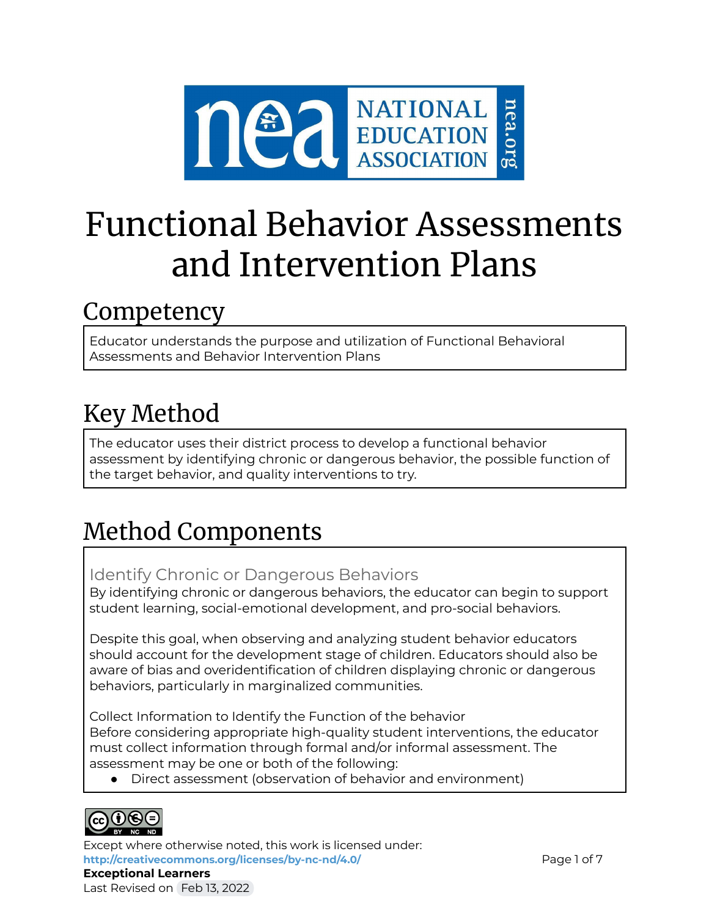

# Functional Behavior Assessments and Intervention Plans

# Competency

Educator understands the purpose and utilization of Functional Behavioral Assessments and Behavior Intervention Plans

# Key Method

The educator uses their district process to develop a functional behavior assessment by identifying chronic or dangerous behavior, the possible function of the target behavior, and quality interventions to try.

# Method Components

Identify Chronic or Dangerous Behaviors

By identifying chronic or dangerous behaviors, the educator can begin to support student learning, social-emotional development, and pro-social behaviors.

Despite this goal, when observing and analyzing student behavior educators should account for the development stage of children. Educators should also be aware of bias and overidentification of children displaying chronic or dangerous behaviors, particularly in marginalized communities.

Collect Information to Identify the Function of the behavior Before considering appropriate high-quality student interventions, the educator must collect information through formal and/or informal assessment. The assessment may be one or both of the following:

● Direct assessment (observation of behavior and environment)



Except where otherwise noted, this work is licensed under: <http://creativecommons.org/licenses/by-nc-nd/4.0/> **Page 1 of 7** Page 1 of 7 **Exceptional Learners** Last Revised on Feb 13, 2022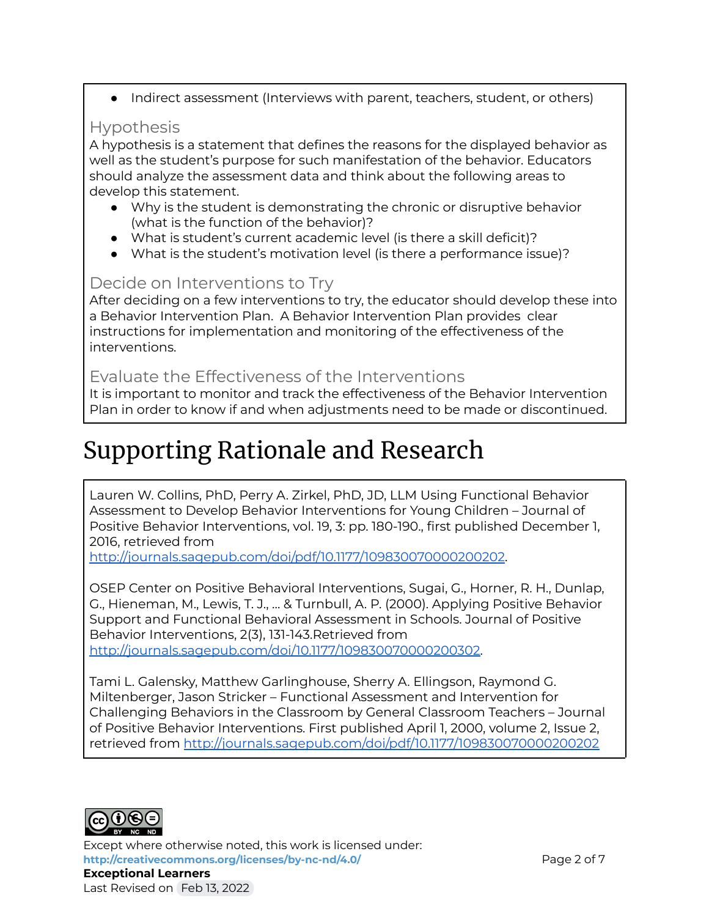• Indirect assessment (Interviews with parent, teachers, student, or others)

### Hypothesis

A hypothesis is a statement that defines the reasons for the displayed behavior as well as the student's purpose for such manifestation of the behavior. Educators should analyze the assessment data and think about the following areas to develop this statement.

- Why is the student is demonstrating the chronic or disruptive behavior (what is the function of the behavior)?
- What is student's current academic level (is there a skill deficit)?
- What is the student's motivation level (is there a performance issue)?

### Decide on Interventions to Try

After deciding on a few interventions to try, the educator should develop these into a Behavior Intervention Plan. A Behavior Intervention Plan provides clear instructions for implementation and monitoring of the effectiveness of the interventions.

### Evaluate the Effectiveness of the Interventions

It is important to monitor and track the effectiveness of the Behavior Intervention Plan in order to know if and when adjustments need to be made or discontinued.

# Supporting Rationale and Research

Lauren W. Collins, PhD, Perry A. Zirkel, PhD, JD, LLM Using Functional Behavior Assessment to Develop Behavior Interventions for Young Children – Journal of Positive Behavior Interventions, vol. 19, 3: pp. 180-190., first published December 1, 2016, retrieved from

<http://journals.sagepub.com/doi/pdf/10.1177/109830070000200202>.

OSEP Center on Positive Behavioral Interventions, Sugai, G., Horner, R. H., Dunlap, G., Hieneman, M., Lewis, T. J., ... & Turnbull, A. P. (2000). Applying Positive Behavior Support and Functional Behavioral Assessment in Schools. Journal of Positive Behavior Interventions, 2(3), 131-143.Retrieved from [http://journals.sagepub.com/doi/10.1177/109830070000200302.](http://journals.sagepub.com/doi/10.1177/109830070000200302)

Tami L. Galensky, Matthew Garlinghouse, Sherry A. Ellingson, Raymond G. Miltenberger, Jason Stricker – Functional Assessment and Intervention for Challenging Behaviors in the Classroom by General Classroom Teachers – Journal of Positive Behavior Interventions. First published April 1, 2000, volume 2, Issue 2, retrieved from <http://journals.sagepub.com/doi/pdf/10.1177/109830070000200202>



Except where otherwise noted, this work is licensed under: **<http://creativecommons.org/licenses/by-nc-nd/4.0/>** Page 2 of 7 **Exceptional Learners** Last Revised on Feb 13, 2022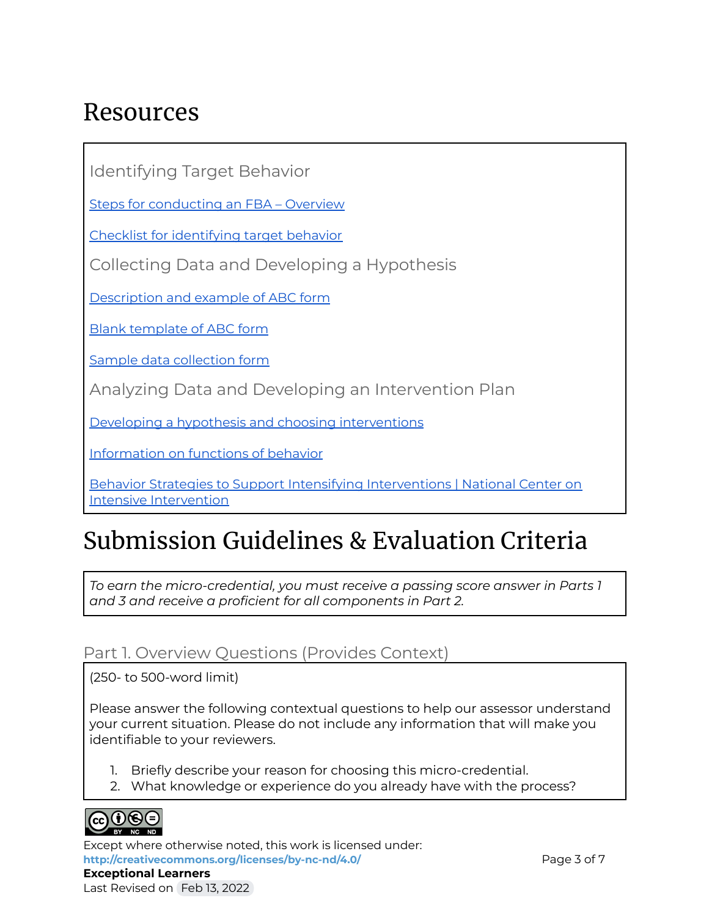# Resources

Identifying Target Behavior

Steps for [conducting](https://sites.google.com/site/jacquelinediazfba/5-steps-in-conducting-an-fba) an FBA – Overview

Checklist for [identifying](https://www.pbis.org/resource/efficient-functional-behavior-assessment-the-functional-assessment-checklist-for-teachers-and-staff-facts) target behavior

Collecting Data and Developing a Hypothesis

[Description](https://www.templateroller.com/template/265831/abc-observation-form.html) and example of ABC form

Blank [template](https://www.iidc.indiana.edu/irca/articles/observing-behavior-using-a-b-c-data.html) of ABC form

Sample data [collection](https://my.vanderbilt.edu/specialeducationinduction/files/2013/07/Tip-Sheet-Funcational-Behavior-Assessment-Function-Based-Interventions.pdf) form

Analyzing Data and Developing an Intervention Plan

Developing a hypothesis and choosing [interventions](https://my.vanderbilt.edu/specialeducationinduction/files/2013/07/Tip-Sheet-Funcational-Behavior-Assessment-Function-Based-Interventions.pdf)

[Information](https://worksheetplace.com/index.php?function=DisplaySheet&sheet=fbad&links=2&id=&link1=31&link2=33) on functions of behavior

Behavior Strategies to Support Intensifying [Interventions](https://intensiveintervention.org/intervention-resources/behavior-strategies-support-intensifying-interventions) | National Center on Intensive [Intervention](https://intensiveintervention.org/intervention-resources/behavior-strategies-support-intensifying-interventions)

# Submission Guidelines & Evaluation Criteria

*To earn the micro-credential, you must receive a passing score answer in Parts 1 and 3 and receive a proficient for all components in Part 2.*

#### Part 1. Overview Questions (Provides Context)

(250- to 500-word limit)

Please answer the following contextual questions to help our assessor understand your current situation. Please do not include any information that will make you identifiable to your reviewers.

- 1. Briefly describe your reason for choosing this micro-credential.
- 2. What knowledge or experience do you already have with the process?



Except where otherwise noted, this work is licensed under: <http://creativecommons.org/licenses/by-nc-nd/4.0/> **Page 3 of 7 Exceptional Learners** Last Revised on Feb 13, 2022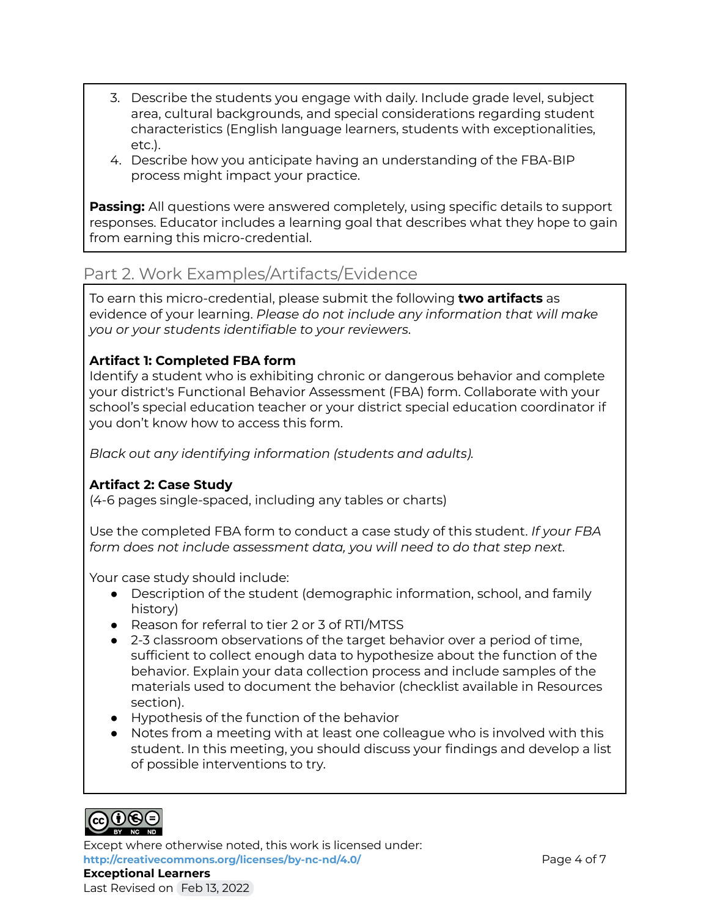- 3. Describe the students you engage with daily. Include grade level, subject area, cultural backgrounds, and special considerations regarding student characteristics (English language learners, students with exceptionalities, etc.).
- 4. Describe how you anticipate having an understanding of the FBA-BIP process might impact your practice.

**Passing:** All questions were answered completely, using specific details to support responses. Educator includes a learning goal that describes what they hope to gain from earning this micro-credential.

### Part 2. Work Examples/Artifacts/Evidence

To earn this micro-credential, please submit the following **two artifacts** as evidence of your learning. *Please do not include any information that will make you or your students identifiable to your reviewers*.

#### **Artifact 1: Completed FBA form**

Identify a student who is exhibiting chronic or dangerous behavior and complete your district's Functional Behavior Assessment (FBA) form. Collaborate with your school's special education teacher or your district special education coordinator if you don't know how to access this form.

*Black out any identifying information (students and adults).*

#### **Artifact 2: Case Study**

(4-6 pages single-spaced, including any tables or charts)

Use the completed FBA form to conduct a case study of this student. *If your FBA form does not include assessment data, you will need to do that step next.*

Your case study should include:

- Description of the student (demographic information, school, and family history)
- Reason for referral to tier 2 or 3 of RTI/MTSS
- 2-3 classroom observations of the target behavior over a period of time, sufficient to collect enough data to hypothesize about the function of the behavior. Explain your data collection process and include samples of the materials used to document the behavior (checklist available in Resources section).
- Hypothesis of the function of the behavior
- Notes from a meeting with at least one colleague who is involved with this student. In this meeting, you should discuss your findings and develop a list of possible interventions to try.



Except where otherwise noted, this work is licensed under: **<http://creativecommons.org/licenses/by-nc-nd/4.0/>** Page 4 of 7 **Exceptional Learners**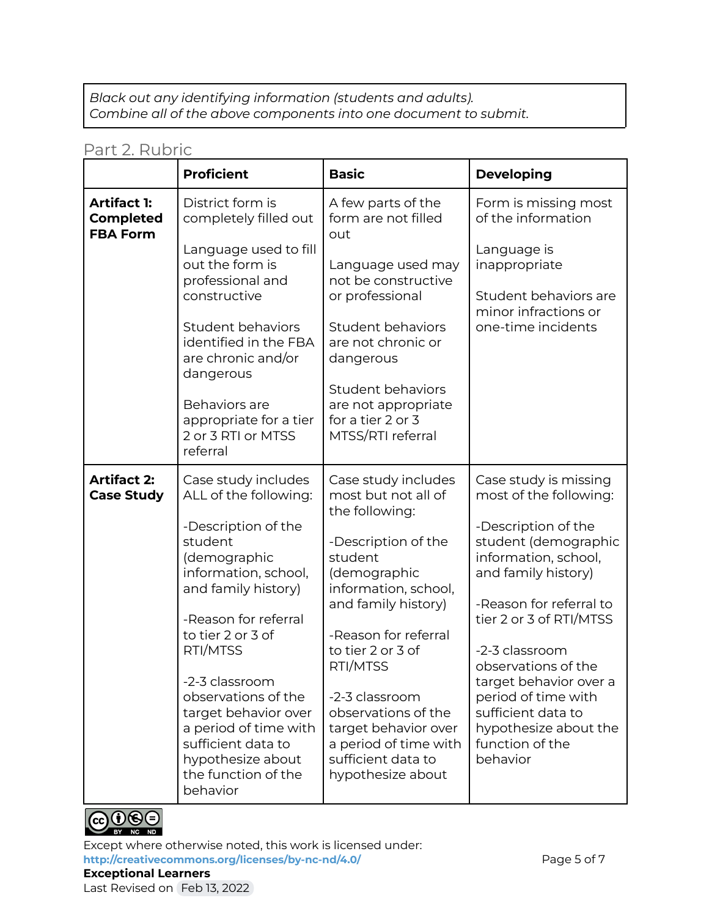*Black out any identifying information (students and adults). Combine all of the above components into one document to submit.*

#### Part 2. Rubric

|                                                           | <b>Proficient</b>                                                                                                                                                                                                                                                                                                                                                              | <b>Basic</b>                                                                                                                                                                                                                                                                                                                                                | <b>Developing</b>                                                                                                                                                                                                                                                                                                                                                           |
|-----------------------------------------------------------|--------------------------------------------------------------------------------------------------------------------------------------------------------------------------------------------------------------------------------------------------------------------------------------------------------------------------------------------------------------------------------|-------------------------------------------------------------------------------------------------------------------------------------------------------------------------------------------------------------------------------------------------------------------------------------------------------------------------------------------------------------|-----------------------------------------------------------------------------------------------------------------------------------------------------------------------------------------------------------------------------------------------------------------------------------------------------------------------------------------------------------------------------|
| <b>Artifact 1:</b><br><b>Completed</b><br><b>FBA Form</b> | District form is<br>completely filled out<br>Language used to fill<br>out the form is<br>professional and<br>constructive<br>Student behaviors<br>identified in the FBA<br>are chronic and/or<br>dangerous<br>Behaviors are<br>appropriate for a tier<br>2 or 3 RTI or MTSS<br>referral                                                                                        | A few parts of the<br>form are not filled<br>out<br>Language used may<br>not be constructive<br>or professional<br>Student behaviors<br>are not chronic or<br>dangerous<br>Student behaviors<br>are not appropriate<br>for a tier 2 or 3<br>MTSS/RTI referral                                                                                               | Form is missing most<br>of the information<br>Language is<br>inappropriate<br>Student behaviors are<br>minor infractions or<br>one-time incidents                                                                                                                                                                                                                           |
| <b>Artifact 2:</b><br><b>Case Study</b>                   | Case study includes<br>ALL of the following:<br>-Description of the<br>student<br>(demographic<br>information, school,<br>and family history)<br>-Reason for referral<br>to tier 2 or 3 of<br>RTI/MTSS<br>-2-3 classroom<br>observations of the<br>target behavior over<br>a period of time with<br>sufficient data to<br>hypothesize about<br>the function of the<br>behavior | Case study includes<br>most but not all of<br>the following:<br>-Description of the<br>student<br>(demographic<br>information, school,<br>and family history)<br>-Reason for referral<br>to tier 2 or 3 of<br>RTI/MTSS<br>-2-3 classroom<br>observations of the<br>target behavior over<br>a period of time with<br>sufficient data to<br>hypothesize about | Case study is missing<br>most of the following:<br>-Description of the<br>student (demographic<br>information, school,<br>and family history)<br>-Reason for referral to<br>tier 2 or 3 of RTI/MTSS<br>-2-3 classroom<br>observations of the<br>target behavior over a<br>period of time with<br>sufficient data to<br>hypothesize about the<br>function of the<br>behavior |



Except where otherwise noted, this work is licensed under: <http://creativecommons.org/licenses/by-nc-nd/4.0/> **Page 5 of 7 Exceptional Learners**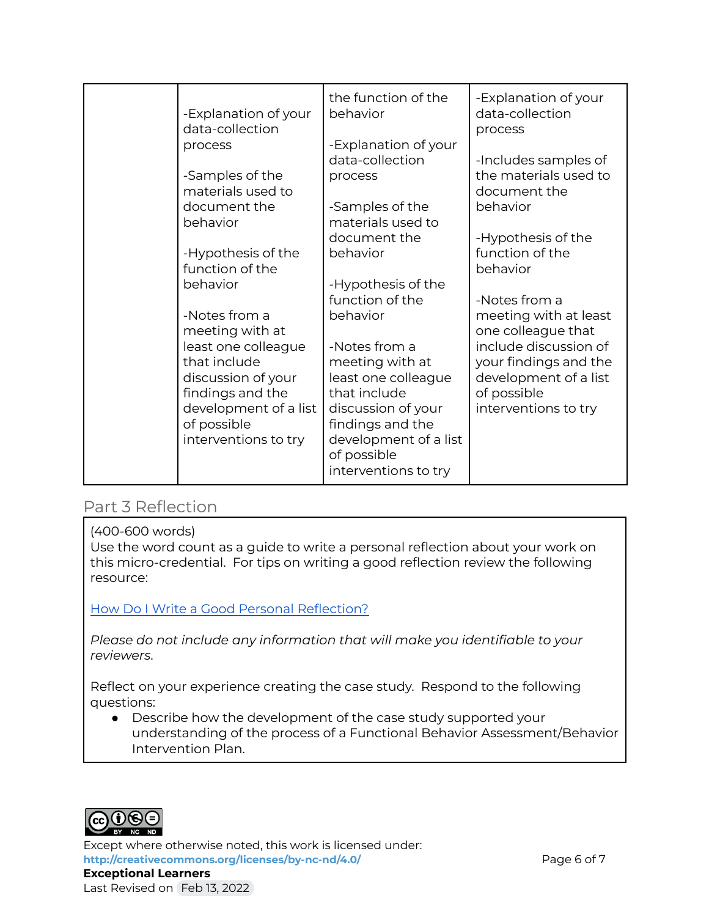| -Explanation of your<br>data-collection<br>process<br>-Samples of the<br>materials used to<br>document the                                                                                                                                         | the function of the<br>behavior<br>-Explanation of your<br>data-collection<br>process<br>-Samples of the                                                                                                                                                        | -Explanation of your<br>data-collection<br>process<br>-Includes samples of<br>the materials used to<br>document the<br>behavior                                                                                                     |
|----------------------------------------------------------------------------------------------------------------------------------------------------------------------------------------------------------------------------------------------------|-----------------------------------------------------------------------------------------------------------------------------------------------------------------------------------------------------------------------------------------------------------------|-------------------------------------------------------------------------------------------------------------------------------------------------------------------------------------------------------------------------------------|
| behavior<br>-Hypothesis of the<br>function of the<br>behavior<br>-Notes from a<br>meeting with at<br>least one colleague<br>that include<br>discussion of your<br>findings and the<br>development of a list<br>of possible<br>interventions to try | materials used to<br>document the<br>behavior<br>-Hypothesis of the<br>function of the<br>behavior<br>-Notes from a<br>meeting with at<br>least one colleague<br>that include<br>discussion of your<br>findings and the<br>development of a list<br>of possible | -Hypothesis of the<br>function of the<br>behavior<br>-Notes from a<br>meeting with at least<br>one colleague that<br>include discussion of<br>your findings and the<br>development of a list<br>of possible<br>interventions to try |

#### Part 3 Reflection

#### (400-600 words)

Use the word count as a guide to write a personal reflection about your work on this micro-credential. For tips on writing a good reflection review the following resource:

How Do I Write a Good Personal [Reflection?](https://isthismystory.com/learning/how-do-i-write-a-good-personal-reflection/)

*Please do not include any information that will make you identifiable to your reviewers*.

Reflect on your experience creating the case study. Respond to the following questions:

● Describe how the development of the case study supported your understanding of the process of a Functional Behavior Assessment/Behavior Intervention Plan.



Except where otherwise noted, this work is licensed under: **<http://creativecommons.org/licenses/by-nc-nd/4.0/>** Page 6 of 7 **Exceptional Learners** Last Revised on Feb 13, 2022